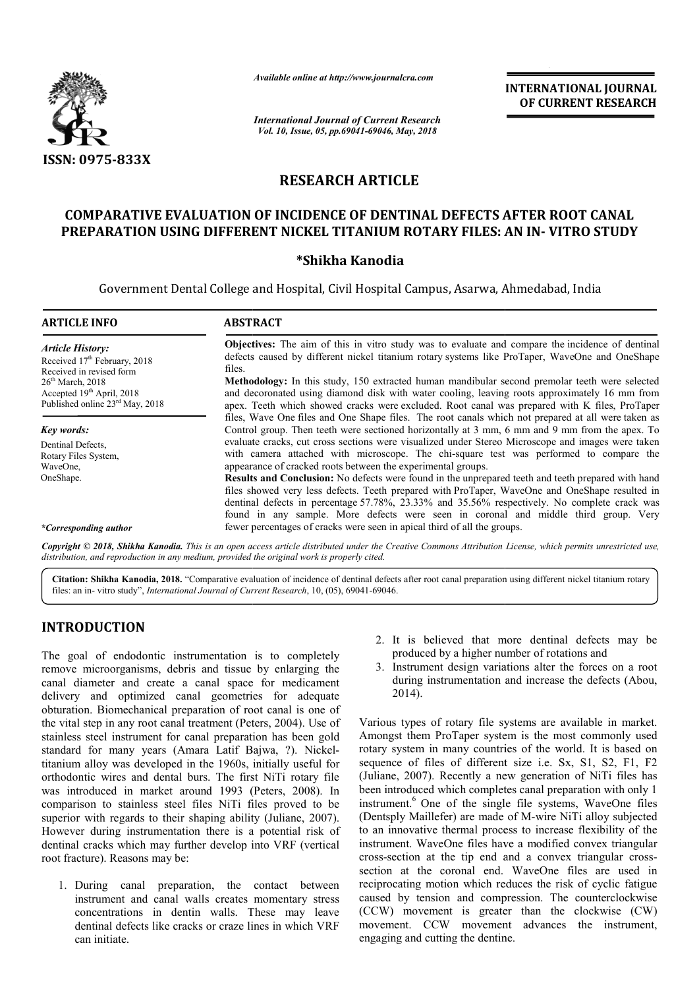

*Available online at http://www.journalcra.com*

*International Journal of Current Research Vol. 10, Issue, 05, pp.69041-69046, May, 2018*

**INTERNATIONAL JOURNAL OF CURRENT RESEARCH**

# **RESEARCH ARTICLE**

## **COMPARATIVE EVALUATION OF INCIDENCE OF DENTINAL DEFECTS AFTER ROOT CANAL PREPARATION USING DIFFERENT NICKEL TITANIUM ROTARY FILES: AN IN COMPARATIVE EVALUATION IN- VITRO STUDY**

### **\*Shikha Kanodia**

Government Dental College and Hospital, Civil Hospital Campus, Asarwa, Ahmedabad, India

| <b>ARTICLE INFO</b>                                                                                        | <b>ABSTRACT</b>                                                                                                                                                                                                                                                                                                                                                                             |  |  |
|------------------------------------------------------------------------------------------------------------|---------------------------------------------------------------------------------------------------------------------------------------------------------------------------------------------------------------------------------------------------------------------------------------------------------------------------------------------------------------------------------------------|--|--|
| <b>Article History:</b><br>Received $17th$ February, 2018<br>Received in revised form                      | <b>Objectives:</b> The aim of this in vitro study was to evaluate and compare the incidence of dentinal<br>defects caused by different nickel titanium rotary systems like ProTaper, WaveOne and OneShape<br>files.<br><b>Methodology:</b> In this study, 150 extracted human mandibular second premolar teeth were selected                                                                |  |  |
| $26th$ March, 2018<br>Accepted 19 <sup>th</sup> April, 2018<br>Published online 23 <sup>rd</sup> May, 2018 | and decoronated using diamond disk with water cooling, leaving roots approximately 16 mm from<br>apex. Teeth which showed cracks were excluded. Root canal was prepared with K files, ProTaper                                                                                                                                                                                              |  |  |
| Key words:                                                                                                 | files, Wave One files and One Shape files. The root canals which not prepared at all were taken as<br>Control group. Then teeth were sectioned horizontally at 3 mm, 6 mm and 9 mm from the apex. To                                                                                                                                                                                        |  |  |
| Dentinal Defects.<br>Rotary Files System,<br>WaveOne,                                                      | evaluate cracks, cut cross sections were visualized under Stereo Microscope and images were taken<br>with camera attached with microscope. The chi-square test was performed to compare the<br>appearance of cracked roots between the experimental groups.                                                                                                                                 |  |  |
| OneShape.                                                                                                  | Results and Conclusion: No defects were found in the unprepared teeth and teeth prepared with hand<br>files showed very less defects. Teeth prepared with ProTaper, WaveOne and OneShape resulted in<br>dentinal defects in percentage 57.78%, 23.33% and 35.56% respectively. No complete crack was<br>found in any sample. More defects were seen in coronal and middle third group. Very |  |  |
| *Corresponding author                                                                                      | fewer percentages of cracks were seen in apical third of all the groups.                                                                                                                                                                                                                                                                                                                    |  |  |

Copyright © 2018, Shikha Kanodia. This is an open access article distributed under the Creative Commons Attribution License, which permits unrestricted use, *distribution, and reproduction in any medium, provided the original work is properly cited.*

Citation: Shikha Kanodia, 2018. "Comparative evaluation of incidence of dentinal defects after root canal preparation using different nickel titanium rotary files: an in- vitro study", *International Journal of Current Research*, 10, (05), 69041-69046.

### **INTRODUCTION**

The goal of endodontic instrumentation is to completely remove microorganisms, debris and tissue by enlarging the canal diameter and create a canal space for medicament delivery and optimized canal geometries for adequate obturation. Biomechanical preparation of root canal is one of the vital step in any root canal treatment (Peters, 2004). Use of stainless steel instrument for canal preparation has been gold standard for many years (Amara Latif Bajwa, ?). Nickel titanium alloy was developed in the 1960s, i initially useful for orthodontic wires and dental burs. The first NiTi rotary file was introduced in market around 1993 (Peters, 2008). In comparison to stainless steel files NiTi files proved to be superior with regards to their shaping ability (Juliane, 2 2007). However during instrumentation there is a potential risk of dentinal cracks which may further develop into VRF (vertical root fracture). Reasons may be: ion of root canal is one of<br>ment (Peters, 2004). Use of<br>preparation has been gold<br>Latif Bajwa, ?). Nickel-

1. During canal preparation, the contact between instrument and canal walls creates momentary stress concentrations in dentin walls. These may leave dentinal defects like cracks or craze lines in which VRF can initiate.

- 2. It is believed that more dentinal defects may be It is believed that more dentinal defects produced by a higher number of rotations and
- 3. Instrument design variations alter the forces on a root during instrumentation and increase the defects (Abou, 2014).

Various types of rotary file systems are available in market. Amongst them ProTaper system is the most commonly used rotary system in many countries of the world. It is base sequence of files of different size i.e. Sx, S1, S2, F1, F2 (Juliane, 2007). Recently a new generation of NiTi files has been introduced which completes canal preparation with only 1 instrument.<sup>6</sup> One of the single file systems, WaveOne files (Dentsply Maillefer) are made of M-wire NiTi alloy subjected to an innovative thermal process to increase flexibility of the instrument. WaveOne files have a modified convex triangular cross-section at the tip end and a convex triangular cross section at the coronal end. WaveOne files are used in reciprocating motion which reduces the risk of cyclic fatigue caused by tension and compression. The counterclockwise (CCW) movement is greater than the clockwise (CW) movement. CCW movement advances the instrument, engaging and cutting the dentine. types of rotary file systems are available in market.<br>
I them ProTaper system is the most commonly used<br>
stem in many countries of the world. It is based on of files of different size i.e. Sx, S1, S2, F1, F2 (007). Recently a new generation of NiTi files has duced which completes canal preparation with only 1  $\int_0^6$  One of the single file systems, WaveOne files Maillefer) ar an innovative thermal process to increase flexibility of the trument. WaveOne files have a modified convex triangular sps-section at the tip end and a convex triangular cross-**INTERNATIONAL JOURNAL COF CURRENT RESEARCH CHE CONEMAL COF CURRENT RESEARCH May, 2018<br>
CLE CHE TINAL DEFECTS AFTER ROOT CANAL ROTARY FILES: AN IN-VITRO STUDY and Campus, Assarva, Ahmedabad, India<br>
movement is greater mov**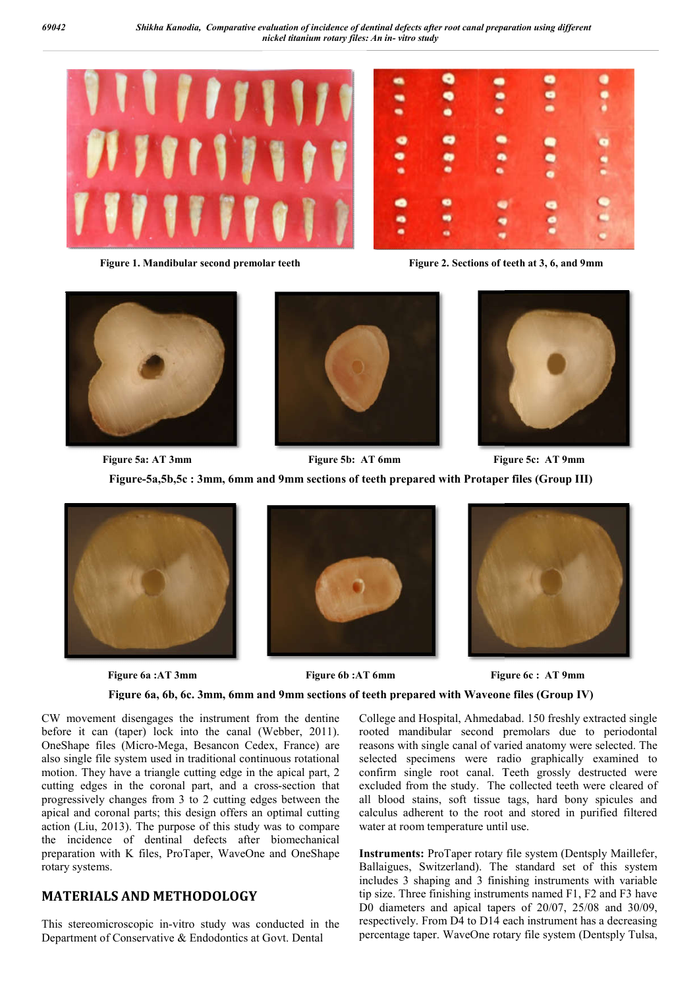





Figure 2. Sections of teeth at 3, 6, and 9mm







**Figure 5a: AT 3mm Figure-5a,5b,5c : 3mm, 6mm and 9mm sections of teeth prepared with Protaper files (Group III)** Figure 5b: AT 6mm Figure 5c: AT 9mm



 **Figure 6a :AT 3mm** 





**Figure 6a, 6b, 6c. 3mm, 6mm and 9mm sections of teeth prepared with Waveone files (Group IV)**

CW movement disengages the instrument from the dentine before it can (taper) lock into the canal (Webber, 2011). OneShape files (Micro-Mega, Besancon Cedex, France) are also single file system used in traditional continuous rotational motion. They have a triangle cutting edge in the apical part, 2 cutting edges in the coronal part, and a cross-section that progressively changes from 3 to 2 cutting edges between the apical and coronal parts; this design offers an optimal cutting action (Liu, 2013). The purpose of this study was to compare the incidence of dentinal defects after biomechanical preparation with K files, ProTaper, WaveOne and OneShape rotary systems. For the instrument from the dentine College and Hospital, Ahmedabad.<br>
into the canal (Webber, 2011). rooted mandibular second premains present in traditional continuous rotational<br>
in traditional continuous rotational<br>
le

# **MATERIALS AND METHODOLOGY ERIALS**

This stereomicroscopic in-vitro study was conducted in the Department of Conservative & Endodontics at Govt. Dental

rooted mandibular second premolars due to periodontal reasons with single canal of varied anatomy were selected. The selected specimens were radio graphically examined to confirm single root canal. Teeth grossly destructed were excluded from the study. The collected teeth were cleared of all blood stains, soft tissue tags, hard bony spicules and calculus adherent to the root and stored in purified filtered water at room temperature until use. College and Hospital, Ahmedabad. 150 freshly extracted single excluded from the study. The collected teeth were cleared of all blood stains, soft tissue tags, hard bony spicules and calculus adherent to the root and stored in purified filtered

Instruments: ProTaper rotary file system (Dentsply Maillefer, Ballaigues, Switzerland). The standard set of this system includes 3 shaping and 3 finishing instruments with variable tip size. Three finishing instruments named F1, F2 and F3 have includes 3 shaping and 3 finishing instruments with variable<br>tip size. Three finishing instruments named F1, F2 and F3 have<br>D0 diameters and apical tapers of 20/07, 25/08 and 30/09, respectively. From D4 to D14 each instrument has a decreasing percentage taper. WaveOne rotary file system (Dentsply Tulsa,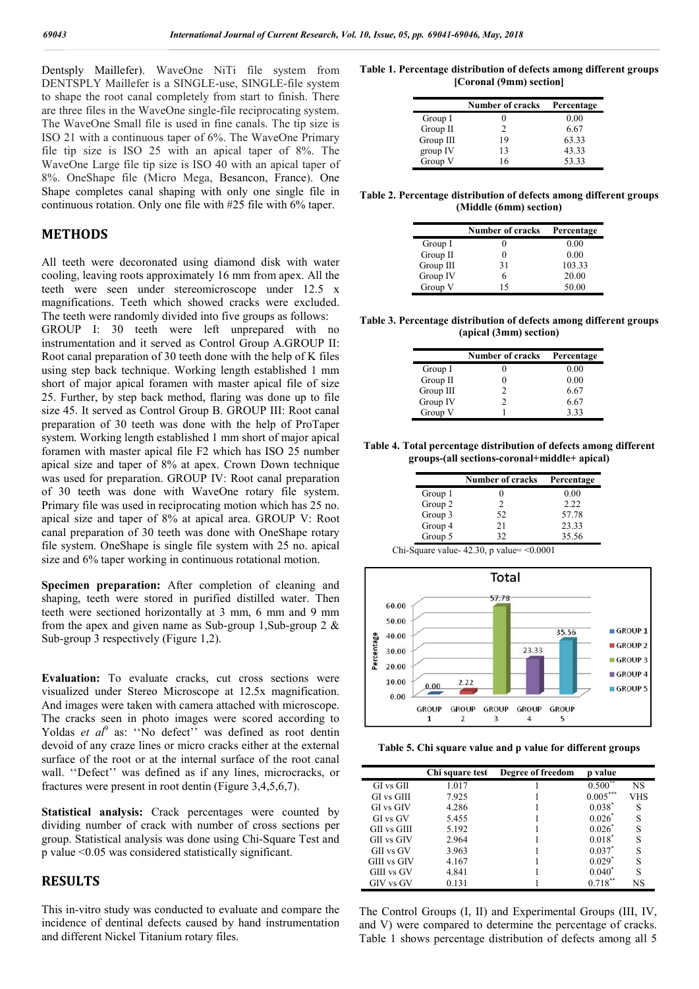Dentsply Maillefer). WaveOne NiTi file system from DENTSPLY Maillefer is a SINGLE-use, SINGLE-file system to shape the root canal completely from start to finish. There are three files in the WaveOne single-file reciprocating system. The WaveOne Small file is used in fine canals. The tip size is ISO 21 with a continuous taper of 6%. The WaveOne Primary file tip size is ISO 25 with an apical taper of 8%. The WaveOne Large file tip size is ISO 40 with an apical taper of 8%. OneShape file (Micro Mega, Besancon, France). One Shape completes canal shaping with only one single file in continuous rotation. Only one file with #25 file with 6% taper.

#### **METHODS**

All teeth were decoronated using diamond disk with water cooling, leaving roots approximately 16 mm from apex. All the teeth were seen under stereomicroscope under 12.5 x magnifications. Teeth which showed cracks were excluded. The teeth were randomly divided into five groups as follows:

GROUP I: 30 teeth were left unprepared with no instrumentation and it served as Control Group A.GROUP II: Root canal preparation of 30 teeth done with the help of K files using step back technique. Working length established 1 mm short of major apical foramen with master apical file of size 25. Further, by step back method, flaring was done up to file size 45. It served as Control Group B. GROUP III: Root canal preparation of 30 teeth was done with the help of ProTaper system. Working length established 1 mm short of major apical foramen with master apical file F2 which has ISO 25 number apical size and taper of 8% at apex. Crown Down technique was used for preparation. GROUP IV: Root canal preparation of 30 teeth was done with WaveOne rotary file system. Primary file was used in reciprocating motion which has 25 no. apical size and taper of 8% at apical area. GROUP V: Root canal preparation of 30 teeth was done with OneShape rotary file system. OneShape is single file system with 25 no. apical size and 6% taper working in continuous rotational motion.

**Specimen preparation:** After completion of cleaning and shaping, teeth were stored in purified distilled water. Then teeth were sectioned horizontally at 3 mm, 6 mm and 9 mm from the apex and given name as Sub-group 1, Sub-group 2  $\&$ Sub-group 3 respectively (Figure 1,2).

**Evaluation:** To evaluate cracks, cut cross sections were visualized under Stereo Microscope at 12.5x magnification. And images were taken with camera attached with microscope. The cracks seen in photo images were scored according to Yoldas *et al*<sup>9</sup> as: "No defect" was defined as root dentin devoid of any craze lines or micro cracks either at the external surface of the root or at the internal surface of the root canal wall. ''Defect'' was defined as if any lines, microcracks, or fractures were present in root dentin (Figure 3,4,5,6,7).

**Statistical analysis:** Crack percentages were counted by dividing number of crack with number of cross sections per group. Statistical analysis was done using Chi-Square Test and p value <0.05 was considered statistically significant.

### **RESULTS**

This in-vitro study was conducted to evaluate and compare the incidence of dentinal defects caused by hand instrumentation and different Nickel Titanium rotary files.

**Table 1. Percentage distribution of defects among different groups [Coronal (9mm) section]**

|           | <b>Number of cracks</b> | Percentage |
|-----------|-------------------------|------------|
| Group I   |                         | 0.00       |
| Group II  | 2                       | 6.67       |
| Group III | 19                      | 63.33      |
| group IV  | 13                      | 43.33      |
| Group V   | 16                      | 53.33      |

**Table 2. Percentage distribution of defects among different groups (Middle (6mm) section)**

|           | <b>Number of cracks</b> | Percentage |  |
|-----------|-------------------------|------------|--|
| Group I   |                         | 0.00       |  |
| Group II  |                         | 0.00       |  |
| Group III | 31                      | 103.33     |  |
| Group IV  | 6                       | 20.00      |  |
| Group V   | 15                      | 50.00      |  |

**Table 3. Percentage distribution of defects among different groups (apical (3mm) section)**

|           | <b>Number of cracks</b> | Percentage |  |
|-----------|-------------------------|------------|--|
| Group I   |                         | 0.00       |  |
| Group II  |                         | 0.00       |  |
| Group III |                         | 6.67       |  |
| Group IV  |                         | 6.67       |  |
| Group V   |                         | 333        |  |

**Table 4. Total percentage distribution of defects among different groups-(all sections-coronal+middle+ apical)**

|         | <b>Number of cracks</b> | Percentage |
|---------|-------------------------|------------|
| Group 1 |                         | 0.00       |
| Group 2 |                         | 2.22       |
| Group 3 | 52                      | 57.78      |
| Group 4 | 21                      | 23.33      |
| Group 5 | 32                      | 35.56      |

Chi-Square value-  $42.30$ , p value=  $\leq 0.0001$ 



**Table 5. Chi square value and p value for different groups**

|                   | Chi square test | Degree of freedom | p value      |     |
|-------------------|-----------------|-------------------|--------------|-----|
| $GI$ vs $GII$     | 1.017           |                   | $0.500^{**}$ | NS  |
| <b>GI</b> vs GIII | 7.925           |                   | $0.005***$   | VHS |
| <b>GI</b> vs GIV  | 4.286           |                   | $0.038*$     | S   |
| GI vs GV          | 5.455           |                   | 0.026        | S   |
| GII vs GIII       | 5.192           |                   | $0.026^*$    |     |
| GII vs GIV        | 2.964           |                   | $0.018^*$    | S   |
| GII vs GV         | 3.963           |                   | $0.037^*$    | S   |
| GIII vs GIV       | 4.167           |                   | $0.029*$     | S   |
| GIII vs GV        | 4.841           |                   | $0.040*$     | S   |
| GIV vs GV         | 0.131           |                   | $0.718***$   | NS  |

The Control Groups (I, II) and Experimental Groups (III, IV, and V) were compared to determine the percentage of cracks. Table 1 shows percentage distribution of defects among all 5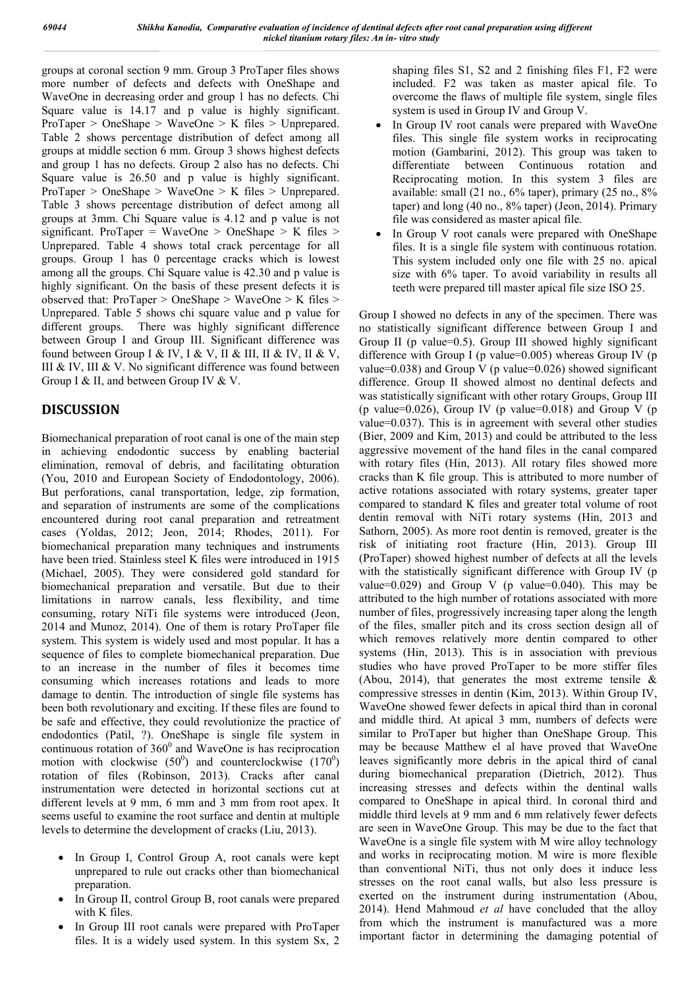groups at coronal section 9 mm. Group 3 ProTaper files shows more number of defects and defects with OneShape and WaveOne in decreasing order and group 1 has no defects. Chi Square value is 14.17 and p value is highly significant. ProTaper > OneShape > WaveOne > K files > Unprepared. Table 2 shows percentage distribution of defect among all groups at middle section 6 mm. Group 3 shows highest defects and group 1 has no defects. Group 2 also has no defects. Chi Square value is 26.50 and p value is highly significant. ProTaper > OneShape > WaveOne > K files > Unprepared. Table 3 shows percentage distribution of defect among all groups at 3mm. Chi Square value is 4.12 and p value is not significant. ProTaper = WaveOne > OneShape > K files > Unprepared. Table 4 shows total crack percentage for all groups. Group 1 has 0 percentage cracks which is lowest among all the groups. Chi Square value is 42.30 and p value is highly significant. On the basis of these present defects it is observed that: ProTaper > OneShape > WaveOne > K files > Unprepared. Table 5 shows chi square value and p value for different groups. There was highly significant difference between Group I and Group III. Significant difference was found between Group I & IV, I & V, II & III, II & IV, II & V, III & IV, III & V. No significant difference was found between Group I & II, and between Group IV & V.

# **DISCUSSION**

Biomechanical preparation of root canal is one of the main step in achieving endodontic success by enabling bacterial elimination, removal of debris, and facilitating obturation (You, 2010 and European Society of Endodontology, 2006). But perforations, canal transportation, ledge, zip formation, and separation of instruments are some of the complications encountered during root canal preparation and retreatment cases (Yoldas, 2012; Jeon, 2014; Rhodes, 2011). For biomechanical preparation many techniques and instruments have been tried. Stainless steel K files were introduced in 1915 (Michael, 2005). They were considered gold standard for biomechanical preparation and versatile. But due to their limitations in narrow canals, less flexibility, and time consuming, rotary NiTi file systems were introduced (Jeon, 2014 and Munoz, 2014). One of them is rotary ProTaper file system. This system is widely used and most popular. It has a sequence of files to complete biomechanical preparation. Due to an increase in the number of files it becomes time consuming which increases rotations and leads to more damage to dentin. The introduction of single file systems has been both revolutionary and exciting. If these files are found to be safe and effective, they could revolutionize the practice of endodontics (Patil, ?). OneShape is single file system in continuous rotation of  $360^{\circ}$  and WaveOne is has reciprocation motion with clockwise  $(50^0)$  and counterclockwise  $(170^0)$ rotation of files (Robinson, 2013). Cracks after canal instrumentation were detected in horizontal sections cut at different levels at 9 mm, 6 mm and 3 mm from root apex. It seems useful to examine the root surface and dentin at multiple levels to determine the development of cracks (Liu, 2013).

- In Group I, Control Group A, root canals were kept unprepared to rule out cracks other than biomechanical preparation.
- In Group II, control Group B, root canals were prepared with K files.
- In Group III root canals were prepared with ProTaper files. It is a widely used system. In this system Sx, 2

shaping files S1, S2 and 2 finishing files F1, F2 were included. F2 was taken as master apical file. To overcome the flaws of multiple file system, single files system is used in Group IV and Group V.

- In Group IV root canals were prepared with WaveOne files. This single file system works in reciprocating motion (Gambarini, 2012). This group was taken to differentiate between Continuous rotation and Reciprocating motion. In this system 3 files are available: small (21 no., 6% taper), primary (25 no., 8% taper) and long (40 no., 8% taper) (Jeon, 2014). Primary file was considered as master apical file.
- In Group V root canals were prepared with OneShape files. It is a single file system with continuous rotation. This system included only one file with 25 no. apical size with 6% taper. To avoid variability in results all teeth were prepared till master apical file size ISO 25.

Group I showed no defects in any of the specimen. There was no statistically significant difference between Group I and Group II (p value=0.5). Group III showed highly significant difference with Group I (p value= $0.005$ ) whereas Group IV (p value=0.038) and Group V (p value=0.026) showed significant difference. Group II showed almost no dentinal defects and was statistically significant with other rotary Groups, Group III (p value=0.026), Group IV (p value=0.018) and Group V (p value=0.037). This is in agreement with several other studies (Bier, 2009 and Kim, 2013) and could be attributed to the less aggressive movement of the hand files in the canal compared with rotary files (Hin, 2013). All rotary files showed more cracks than K file group. This is attributed to more number of active rotations associated with rotary systems, greater taper compared to standard K files and greater total volume of root dentin removal with NiTi rotary systems (Hin, 2013 and Sathorn, 2005). As more root dentin is removed, greater is the risk of initiating root fracture (Hin, 2013). Group III (ProTaper) showed highest number of defects at all the levels with the statistically significant difference with Group IV (p value=0.029) and Group V (p value=0.040). This may be attributed to the high number of rotations associated with more number of files, progressively increasing taper along the length of the files, smaller pitch and its cross section design all of which removes relatively more dentin compared to other systems (Hin, 2013). This is in association with previous studies who have proved ProTaper to be more stiffer files (Abou, 2014), that generates the most extreme tensile  $\&$ compressive stresses in dentin (Kim, 2013). Within Group IV, WaveOne showed fewer defects in apical third than in coronal and middle third. At apical 3 mm, numbers of defects were similar to ProTaper but higher than OneShape Group. This may be because Matthew el al have proved that WaveOne leaves significantly more debris in the apical third of canal during biomechanical preparation (Dietrich, 2012). Thus increasing stresses and defects within the dentinal walls compared to OneShape in apical third. In coronal third and middle third levels at 9 mm and 6 mm relatively fewer defects are seen in WaveOne Group. This may be due to the fact that WaveOne is a single file system with M wire alloy technology and works in reciprocating motion. M wire is more flexible than conventional NiTi, thus not only does it induce less stresses on the root canal walls, but also less pressure is exerted on the instrument during instrumentation (Abou, 2014). Hend Mahmoud *et al* have concluded that the alloy from which the instrument is manufactured was a more important factor in determining the damaging potential of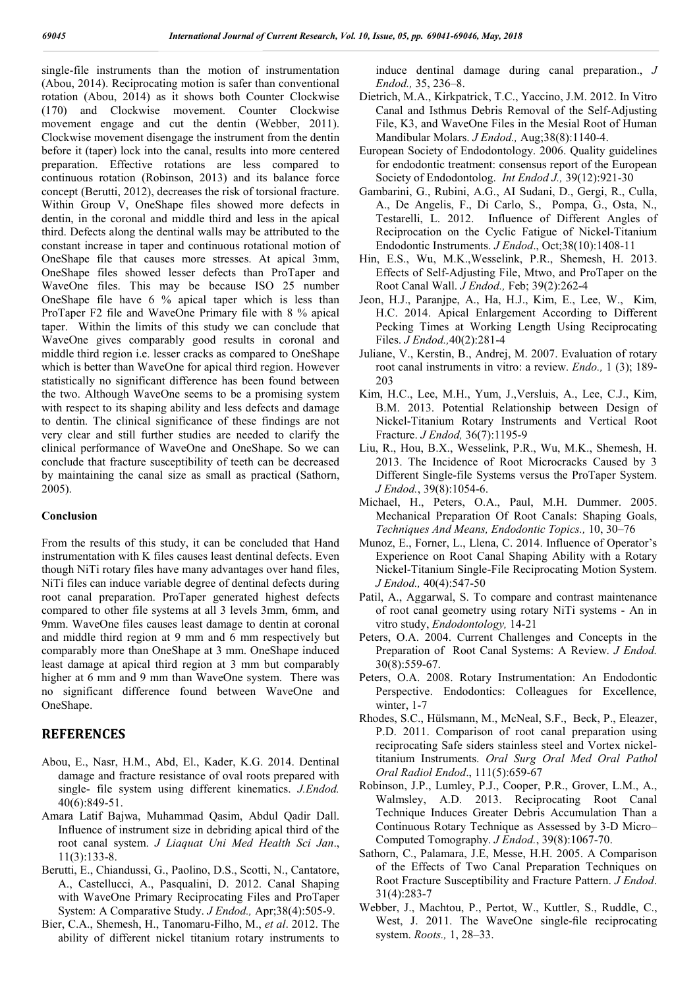single-file instruments than the motion of instrumentation (Abou, 2014). Reciprocating motion is safer than conventional rotation (Abou, 2014) as it shows both Counter Clockwise (170) and Clockwise movement. Counter Clockwise movement engage and cut the dentin (Webber, 2011). Clockwise movement disengage the instrument from the dentin before it (taper) lock into the canal, results into more centered preparation. Effective rotations are less compared to continuous rotation (Robinson, 2013) and its balance force concept (Berutti, 2012), decreases the risk of torsional fracture. Within Group V, OneShape files showed more defects in dentin, in the coronal and middle third and less in the apical third. Defects along the dentinal walls may be attributed to the constant increase in taper and continuous rotational motion of OneShape file that causes more stresses. At apical 3mm, OneShape files showed lesser defects than ProTaper and WaveOne files. This may be because ISO 25 number OneShape file have 6 % apical taper which is less than ProTaper F2 file and WaveOne Primary file with 8 % apical taper. Within the limits of this study we can conclude that WaveOne gives comparably good results in coronal and middle third region i.e. lesser cracks as compared to OneShape which is better than WaveOne for apical third region. However statistically no significant difference has been found between the two. Although WaveOne seems to be a promising system with respect to its shaping ability and less defects and damage to dentin. The clinical significance of these findings are not very clear and still further studies are needed to clarify the clinical performance of WaveOne and OneShape. So we can conclude that fracture susceptibility of teeth can be decreased by maintaining the canal size as small as practical (Sathorn, 2005).

#### **Conclusion**

From the results of this study, it can be concluded that Hand instrumentation with K files causes least dentinal defects. Even though NiTi rotary files have many advantages over hand files, NiTi files can induce variable degree of dentinal defects during root canal preparation. ProTaper generated highest defects compared to other file systems at all 3 levels 3mm, 6mm, and 9mm. WaveOne files causes least damage to dentin at coronal and middle third region at 9 mm and 6 mm respectively but comparably more than OneShape at 3 mm. OneShape induced least damage at apical third region at 3 mm but comparably higher at 6 mm and 9 mm than WaveOne system. There was no significant difference found between WaveOne and OneShape.

#### **REFERENCES**

- Abou, E., Nasr, H.M., Abd, El., Kader, K.G. 2014. Dentinal damage and fracture resistance of oval roots prepared with single- file system using different kinematics. *J.Endod.* 40(6):849-51.
- Amara Latif Bajwa, Muhammad Qasim, Abdul Qadir Dall. Influence of instrument size in debriding apical third of the root canal system. *J Liaquat Uni Med Health Sci Jan*., 11(3):133-8.
- Berutti, E., Chiandussi, G., Paolino, D.S., Scotti, N., Cantatore, A., Castellucci, A., Pasqualini, D. 2012. Canal Shaping with WaveOne Primary Reciprocating Files and ProTaper System: A Comparative Study. *J Endod.,* Apr;38(4):505-9.
- Bier, C.A., Shemesh, H., Tanomaru-Filho, M., *et al*. 2012. The ability of different nickel titanium rotary instruments to

induce dentinal damage during canal preparation., *J Endod.,* 35, 236–8.

- Dietrich, M.A., Kirkpatrick, T.C., Yaccino, J.M. 2012. In Vitro Canal and Isthmus Debris Removal of the Self-Adjusting File, K3, and WaveOne Files in the Mesial Root of Human Mandibular Molars. *J Endod.,* Aug;38(8):1140-4.
- European Society of Endodontology. 2006. Quality guidelines for endodontic treatment: consensus report of the European Society of Endodontolog. *Int Endod J.,* 39(12):921-30
- Gambarini, G., Rubini, A.G., AI Sudani, D., Gergi, R., Culla, A., De Angelis, F., Di Carlo, S., Pompa, G., Osta, N., Testarelli, L. 2012. Influence of Different Angles of Reciprocation on the Cyclic Fatigue of Nickel-Titanium Endodontic Instruments. *J Endod*., Oct;38(10):1408-11
- Hin, E.S., Wu, M.K.,Wesselink, P.R., Shemesh, H. 2013. Effects of Self-Adjusting File, Mtwo, and ProTaper on the Root Canal Wall. *J Endod.,* Feb; 39(2):262-4
- Jeon, H.J., Paranjpe, A., Ha, H.J., Kim, E., Lee, W., Kim, H.C. 2014. Apical Enlargement According to Different Pecking Times at Working Length Using Reciprocating Files. *J Endod.,*40(2):281-4
- Juliane, V., Kerstin, B., Andrej, M. 2007. Evaluation of rotary root canal instruments in vitro: a review. *Endo.,* 1 (3); 189- 203
- Kim, H.C., Lee, M.H., Yum, J.,Versluis, A., Lee, C.J., Kim, B.M. 2013. Potential Relationship between Design of Nickel-Titanium Rotary Instruments and Vertical Root Fracture. *J Endod,* 36(7):1195-9
- Liu, R., Hou, B.X., Wesselink, P.R., Wu, M.K., Shemesh, H. 2013. The Incidence of Root Microcracks Caused by 3 Different Single-file Systems versus the ProTaper System. *J Endod.*, 39(8):1054-6.
- Michael, H., Peters, O.A., Paul, M.H. Dummer. 2005. Mechanical Preparation Of Root Canals: Shaping Goals, *Techniques And Means, Endodontic Topics.,* 10, 30–76
- Munoz, E., Forner, L., Llena, C. 2014. Influence of Operator's Experience on Root Canal Shaping Ability with a Rotary Nickel-Titanium Single-File Reciprocating Motion System. *J Endod.,* 40(4):547-50
- Patil, A., Aggarwal, S. To compare and contrast maintenance of root canal geometry using rotary NiTi systems - An in vitro study, *Endodontology,* 14-21
- Peters, O.A. 2004. Current Challenges and Concepts in the Preparation of Root Canal Systems: A Review. *J Endod.* 30(8):559-67.
- Peters, O.A. 2008. Rotary Instrumentation: An Endodontic Perspective. Endodontics: Colleagues for Excellence, winter, 1-7
- Rhodes, S.C., Hülsmann, M., McNeal, S.F., Beck, P., Eleazer, P.D. 2011. Comparison of root canal preparation using reciprocating Safe siders stainless steel and Vortex nickeltitanium Instruments. *Oral Surg Oral Med Oral Pathol Oral Radiol Endod*., 111(5):659-67
- Robinson, J.P., Lumley, P.J., Cooper, P.R., Grover, L.M., A., Walmsley, A.D. 2013. Reciprocating Root Canal Technique Induces Greater Debris Accumulation Than a Continuous Rotary Technique as Assessed by 3-D Micro– Computed Tomography. *J Endod.*, 39(8):1067-70.
- Sathorn, C., Palamara, J.E, Messe, H.H. 2005. A Comparison of the Effects of Two Canal Preparation Techniques on Root Fracture Susceptibility and Fracture Pattern. *J Endod*. 31(4):283-7
- Webber, J., Machtou, P., Pertot, W., Kuttler, S., Ruddle, C., West, J. 2011. The WaveOne single-file reciprocating system. *Roots.,* 1, 28–33.